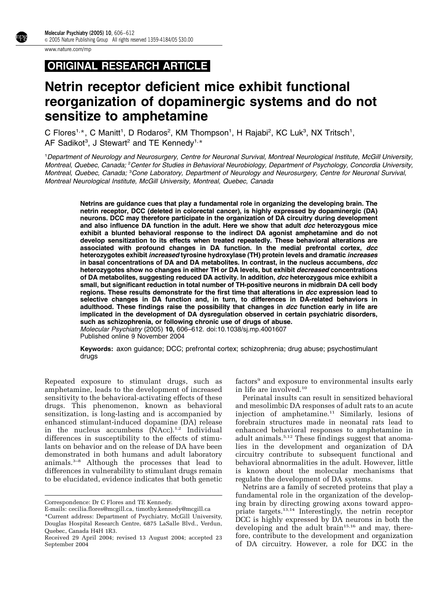www.nature.com/mp

## ORIGINAL RESEARCH ARTICLE

# Netrin receptor deficient mice exhibit functional reorganization of dopaminergic systems and do not sensitize to amphetamine

C Flores<sup>1,\*</sup>, C Manitt<sup>1</sup>, D Rodaros<sup>2</sup>, KM Thompson<sup>1</sup>, H Rajabi<sup>2</sup>, KC Luk<sup>3</sup>, NX Tritsch<sup>1</sup>, AF Sadikot<sup>3</sup>, J Stewart<sup>2</sup> and TE Kennedy<sup>1,\*</sup>

1 Department of Neurology and Neurosurgery, Centre for Neuronal Survival, Montreal Neurological Institute, McGill University, Montreal, Quebec, Canada; <sup>2</sup>Center for Studies in Behavioral Neurobiology, Department of Psychology, Concordia University, Montreal, Quebec, Canada; <sup>3</sup>Cone Laboratory, Department of Neurology and Neurosurgery, Centre for Neuronal Survival, Montreal Neurological Institute, McGill University, Montreal, Quebec, Canada

Netrins are guidance cues that play a fundamental role in organizing the developing brain. The netrin receptor, DCC (deleted in colorectal cancer), is highly expressed by dopaminergic (DA) neurons. DCC may therefore participate in the organization of DA circuitry during development and also influence DA function in the adult. Here we show that adult dcc heterozygous mice exhibit a blunted behavioral response to the indirect DA agonist amphetamine and do not develop sensitization to its effects when treated repeatedly. These behavioral alterations are associated with profound changes in DA function. In the medial prefrontal cortex, dcc heterozygotes exhibit increased tyrosine hydroxylase (TH) protein levels and dramatic increases in basal concentrations of DA and DA metabolites. In contrast, in the nucleus accumbens, dcc heterozygotes show no changes in either TH or DA levels, but exhibit *decreased* concentrations of DA metabolites, suggesting reduced DA activity. In addition, dcc heterozygous mice exhibit a small, but significant reduction in total number of TH-positive neurons in midbrain DA cell body regions. These results demonstrate for the first time that alterations in dcc expression lead to selective changes in DA function and, in turn, to differences in DA-related behaviors in adulthood. These findings raise the possibility that changes in dcc function early in life are implicated in the development of DA dysregulation observed in certain psychiatric disorders, such as schizophrenia, or following chronic use of drugs of abuse.

Molecular Psychiatry (2005) 10, 606–612. doi:10.1038/sj.mp.4001607 Published online 9 November 2004

Keywords: axon guidance; DCC; prefrontal cortex; schizophrenia; drug abuse; psychostimulant drugs

Repeated exposure to stimulant drugs, such as amphetamine, leads to the development of increased sensitivity to the behavioral-activating effects of these drugs. This phenomenon, known as behavioral sensitization, is long-lasting and is accompanied by enhanced stimulant-induced dopamine (DA) release in the nucleus accumbens  $(NAcc).<sup>1,2</sup>$  Individual differences in susceptibility to the effects of stimulants on behavior and on the release of DA have been demonstrated in both humans and adult laboratory animals.3–8 Although the processes that lead to differences in vulnerability to stimulant drugs remain to be elucidated, evidence indicates that both genetic

factors<sup>9</sup> and exposure to environmental insults early in life are involved.<sup>10</sup>

Perinatal insults can result in sensitized behavioral and mesolimbic DA responses of adult rats to an acute injection of amphetamine.<sup>11</sup> Similarly, lesions of forebrain structures made in neonatal rats lead to enhanced behavioral responses to amphetamine in adult animals.<sup>5,12</sup> These findings suggest that anomalies in the development and organization of DA circuitry contribute to subsequent functional and behavioral abnormalities in the adult. However, little is known about the molecular mechanisms that regulate the development of DA systems.

Netrins are a family of secreted proteins that play a fundamental role in the organization of the developing brain by directing growing axons toward appropriate targets.13,14 Interestingly, the netrin receptor DCC is highly expressed by DA neurons in both the developing and the adult brain $15,16$  and may, therefore, contribute to the development and organization Received 29 April 2004; revised 13 August 2004; accepted 23 tore, contribute to the development and organization<br>September 2004 of DA circuitry. However, a role for DCC in the

Correspondence: Dr C Flores and TE Kennedy.

E-mails: cecilia.flores@mcgill.ca, timothy.kennedy@mcgill.ca \*Current address: Department of Psychiatry, McGill University, Douglas Hospital Research Centre, 6875 LaSalle Blvd., Verdun, Quebec, Canada H4H 1R3.

September 2004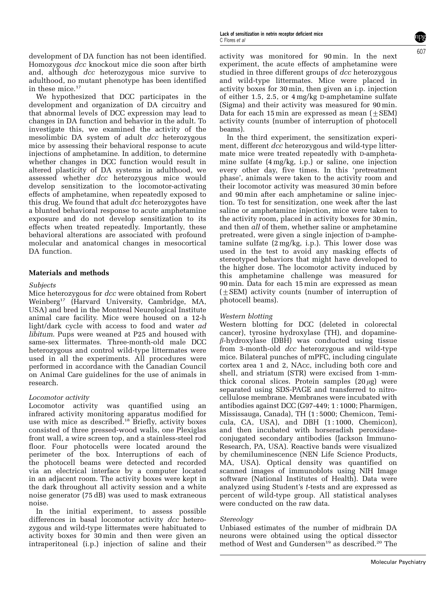development of DA function has not been identified. Homozygous dcc knockout mice die soon after birth and, although *dcc* heterozygous mice survive to adulthood, no mutant phenotype has been identified in these mice.<sup>17</sup>

We hypothesized that DCC participates in the development and organization of DA circuitry and that abnormal levels of DCC expression may lead to changes in DA function and behavior in the adult. To investigate this, we examined the activity of the mesolimbic DA system of adult dcc heterozygous mice by assessing their behavioral response to acute injections of amphetamine. In addition, to determine whether changes in DCC function would result in altered plasticity of DA systems in adulthood, we assessed whether dcc heterozygous mice would develop sensitization to the locomotor-activating effects of amphetamine, when repeatedly exposed to this drug. We found that adult *dcc* heterozygotes have a blunted behavioral response to acute amphetamine exposure and do not develop sensitization to its effects when treated repeatedly. Importantly, these behavioral alterations are associated with profound molecular and anatomical changes in mesocortical DA function.

#### Materials and methods

#### **Subjects**

Mice heterozygous for dcc were obtained from Robert Weinberg17 (Harvard University, Cambridge, MA, USA) and bred in the Montreal Neurological Institute animal care facility. Mice were housed on a 12-h light/dark cycle with access to food and water ad libitum. Pups were weaned at P25 and housed with same-sex littermates. Three-month-old male DCC heterozygous and control wild-type littermates were used in all the experiments. All procedures were performed in accordance with the Canadian Council on Animal Care guidelines for the use of animals in research.

#### Locomotor activity

Locomotor activity was quantified using an infrared activity monitoring apparatus modified for use with mice as described.<sup>18</sup> Briefly, activity boxes consisted of three pressed-wood walls, one Plexiglas front wall, a wire screen top, and a stainless-steel rod floor. Four photocells were located around the perimeter of the box. Interruptions of each of the photocell beams were detected and recorded via an electrical interface by a computer located in an adjacent room. The activity boxes were kept in the dark throughout all activity session and a white noise generator (75 dB) was used to mask extraneous noise.

In the initial experiment, to assess possible differences in basal locomotor activity dcc heterozygous and wild-type littermates were habituated to activity boxes for 30 min and then were given an intraperitoneal (i.p.) injection of saline and their activity was monitored for 90 min. In the next experiment, the acute effects of amphetamine were studied in three different groups of dcc heterozygous and wild-type littermates. Mice were placed in activity boxes for 30 min, then given an i.p. injection of either 1.5, 2.5, or 4 mg/kg D-amphetamine sulfate (Sigma) and their activity was measured for 90 min. Data for each 15 min are expressed as mean  $(\pm$  SEM) activity counts (number of interruption of photocell beams).

In the third experiment, the sensitization experiment, different dcc heterozygous and wild-type littermate mice were treated repeatedly with D-amphetamine sulfate (4 mg/kg, i.p.) or saline, one injection every other day, five times. In this 'pretreatment phase', animals were taken to the activity room and their locomotor activity was measured 30 min before and 90 min after each amphetamine or saline injection. To test for sensitization, one week after the last saline or amphetamine injection, mice were taken to the activity room, placed in activity boxes for 30 min, and then all of them, whether saline or amphetamine pretreated, were given a single injection of D-amphetamine sulfate (2 mg/kg, i.p.). This lower dose was used in the test to avoid any masking effects of stereotyped behaviors that might have developed to the higher dose. The locomotor activity induced by this amphetamine challenge was measured for 90 min. Data for each 15 min are expressed as mean  $(\pm$ SEM) activity counts (number of interruption of photocell beams).

#### Western blotting

Western blotting for DCC (deleted in colorectal cancer), tyrosine hydroxylase (TH), and dopamine- $\beta$ -hydroxylase (DBH) was conducted using tissue from 3-month-old dcc heterozygous and wild-type mice. Bilateral punches of mPFC, including cingulate cortex area 1 and 2, NAcc, including both core and shell, and striatum (STR) were excised from 1-mmthick coronal slices. Protein samples  $(20 \mu g)$  were separated using SDS-PAGE and transferred to nitrocellulose membrane. Membranes were incubated with antibodies against DCC (G97-449; 1 : 1000; Pharmigen, Mississauga, Canada), TH (1 : 5000; Chemicon, Temicula,  $CA$ , USA), and DBH  $(1:1000,$  Chemicon), and then incubated with horseradish peroxidaseconjugated secondary antibodies (Jackson Immuno-Research, PA, USA). Reactive bands were visualized by chemiluminescence (NEN Life Science Products, MA, USA). Optical density was quantified on scanned images of immunoblots using NIH Image software (National Institutes of Health). Data were analyzed using Student's t-tests and are expressed as percent of wild-type group. All statistical analyses were conducted on the raw data.

#### Stereology

Unbiased estimates of the number of midbrain DA neurons were obtained using the optical dissector method of West and Gundersen<sup>19</sup> as described.<sup>20</sup> The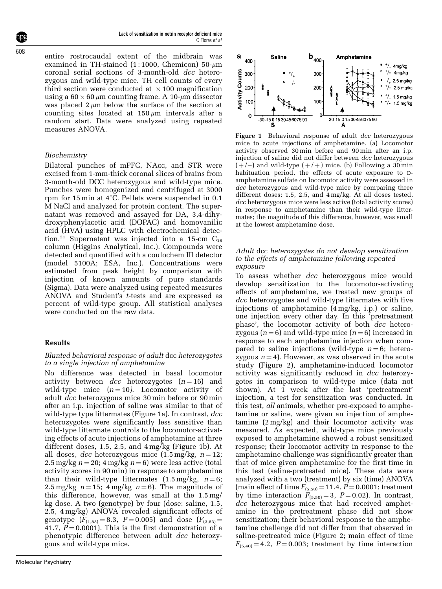entire rostrocaudal extent of the midbrain was examined in TH-stained  $(1:1000,$  Chemicon) 50- $\mu$ m coronal serial sections of 3-month-old dcc heterozygous and wild-type mice. TH cell counts of every third section were conducted at  $\times$  100 magnification using a  $60 \times 60 \mu m$  counting frame. A 10- $\mu$ m dissector was placed  $2 \mu m$  below the surface of the section at counting sites located at  $150 \mu m$  intervals after a random start. Data were analyzed using repeated measures ANOVA.

#### Biochemistry

Bilateral punches of mPFC, NAcc, and STR were excised from 1-mm-thick coronal slices of brains from 3-month-old DCC heterozygous and wild-type mice. Punches were homogenized and centrifuged at 3000 rpm for 15 min at  $4^{\circ}$ C. Pellets were suspended in 0.1 M NaCl and analyzed for protein content. The supernatant was removed and assayed for DA, 3,4-dihydroxyphenylacetic acid (DOPAC) and homovanilic acid (HVA) using HPLC with electrochemical detection.<sup>21</sup> Supernatant was injected into a 15-cm  $C_{18}$ column (Higgins Analytical, Inc.). Compounds were detected and quantified with a coulochem III detector (model 5100A; ESA, Inc.). Concentrations were estimated from peak height by comparison with injection of known amounts of pure standards (Sigma). Data were analyzed using repeated measures ANOVA and Student's t-tests and are expressed as percent of wild-type group. All statistical analyses were conducted on the raw data.

#### Results

#### Blunted behavioral response of adult dcc heterozygotes to a single injection of amphetamine

No difference was detected in basal locomotor activity between  $\text{dcc}$  heterozygotes  $(n = 16)$  and wild-type mice  $(n = 10)$ . Locomotor activity of adult dcc heterozygous mice 30 min before or 90 min after an i.p. injection of saline was similar to that of wild-type type littermates (Figure 1a). In contrast, dcc heterozygotes were significantly less sensitive than wild-type littermate controls to the locomotor-activating effects of acute injections of amphetamine at three different doses, 1.5, 2.5, and 4 mg/kg (Figure 1b). At all doses, dcc heterozygous mice  $(1.5 \text{ mg/kg}, n = 12;$ 2.5 mg/kg  $n = 20$ ; 4 mg/kg  $n = 6$ ) were less active (total activity scores in 90 min) in response to amphetamine than their wild-type littermates  $(1.5 \text{ mg/kg}, n=6;$ 2.5 mg/kg  $n = 15$ ; 4 mg/kg  $n = 6$ ). The magnitude of this difference, however, was small at the 1.5 mg/ kg dose. A two (genotype) by four (dose: saline, 1.5, 2.5, 4 mg/kg) ANOVA revealed significant effects of genotype  $(F_{(1,83)} = 8.3, P = 0.005)$  and dose  $(F_{(3,83)} =$ 41.7,  $\overline{P} = 0.0001$ ). This is the first demonstration of a phenotypic difference between adult dcc heterozygous and wild-type mice.



Figure 1 Behavioral response of adult dcc heterozygous mice to acute injections of amphetamine. (a) Locomotor activity observed 30 min before and 90 min after an i.p. injection of saline did not differ between dcc heterozygous  $(+/-)$  and wild-type  $(+/+)$  mice. (b) Following a 30 min habituation period, the effects of acute exposure to Damphetamine sulfate on locomotor activity were assessed in dcc heterozygous and wild-type mice by comparing three different doses: 1.5, 2.5, and 4 mg/kg. At all doses tested, dcc heterozygous mice were less active (total activity scores) in response to amphetamine than their wild-type littermates; the magnitude of this difference, however, was small at the lowest amphetamine dose.

#### Adult dcc heterozygotes do not develop sensitization to the effects of amphetamine following repeated exposure

To assess whether dcc heterozygous mice would develop sensitization to the locomotor-activating effects of amphetamine, we treated new groups of dcc heterozygotes and wild-type littermates with five injections of amphetamine (4 mg/kg, i.p.) or saline, one injection every other day. In this 'pretreatment phase', the locomotor activity of both dcc heterozygous ( $n = 6$ ) and wild-type mice ( $n = 6$ ) increased in response to each amphetamine injection when compared to saline injections (wild-type  $n = 6$ ; heterozygous  $n = 4$ ). However, as was observed in the acute study (Figure 2), amphetamine-induced locomotor activity was significantly reduced in dcc heterozygotes in comparison to wild-type mice (data not shown). At 1 week after the last 'pretreatment' injection, a test for sensitization was conducted. In this test, all animals, whether pre-exposed to amphetamine or saline, were given an injection of amphetamine (2 mg/kg) and their locomotor activity was measured. As expected, wild-type mice previously exposed to amphetamine showed a robust sensitized response; their locomotor activity in response to the amphetamine challenge was significantly greater than that of mice given amphetamine for the first time in this test (saline-pretreated mice). These data were analyzed with a two (treatment) by six (time) ANOVA (main effect of time  $F_{(5,50)} = 11.4$ ,  $P = 0.0001$ ; treatment by time interaction  $F_{(5,50)} = 3$ ,  $P = 0.02$ ). In contrast, dcc heterozygous mice that had received amphetamine in the pretreatment phase did not show sensitization; their behavioral response to the amphetamine challenge did not differ from that observed in saline-pretreated mice (Figure 2; main effect of time  $F_{(5,40)} = 4.2$ ,  $P = 0.003$ ; treatment by time interaction

Lack of sensitization in netrin receptor deficient mice C Flores et al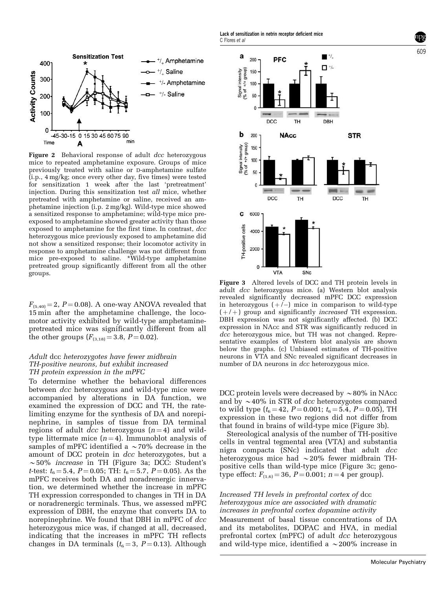Lack of sensitization in netrin receptor deficient mice C Flores et al



Figure 2 Behavioral response of adult dcc heterozygous mice to repeated amphetamine exposure. Groups of mice previously treated with saline or D-amphetamine sulfate (i.p., 4 mg/kg; once every other day, five times) were tested for sensitization 1 week after the last 'pretreatment' injection. During this sensitization test all mice, whether pretreated with amphetamine or saline, received an amphetamine injection (i.p. 2 mg/kg). Wild-type mice showed a sensitized response to amphetamine; wild-type mice preexposed to amphetamine showed greater activity than those exposed to amphetamine for the first time. In contrast, dcc heterozygous mice previously exposed to amphetamine did not show a sensitized response; their locomotor activity in response to amphetamine challenge was not different from mice pre-exposed to saline. \*Wild-type amphetamine pretreated group significantly different from all the other groups.

 $F_{(5,40)} = 2$ , P = 0.08). A one-way ANOVA revealed that 15 min after the amphetamine challenge, the locomotor activity exhibited by wild-type amphetaminepretreated mice was significantly different from all the other groups  $(F_{(3,18)} = 3.8, P = 0.02)$ .

#### Adult dcc heterozygotes have fewer midbrain TH-positive neurons, but exhibit increased TH protein expression in the mPFC

To determine whether the behavioral differences between *dcc* heterozygous and wild-type mice were accompanied by alterations in DA function, we examined the expression of DCC and TH, the ratelimiting enzyme for the synthesis of DA and norepinephrine, in samples of tissue from DA terminal regions of adult  $\bar{d}cc$  heterozygous (n = 4) and wildtype littermate mice  $(n=4)$ . Immunoblot analysis of samples of mPFC identified a  $\sim$  70% decrease in the amount of DCC protein in *dcc* heterozygotes, but a  $\sim$  50% increase in TH (Figure 3a; DCC: Student's t-test:  $t_6 = 5.4$ ,  $P = 0.05$ ; TH:  $t_6 = 5.7$ ,  $P = 0.05$ ). As the mPFC receives both DA and noradrenergic innervation, we determined whether the increase in mPFC TH expression corresponded to changes in TH in DA or noradrenergic terminals. Thus, we assessed mPFC expression of DBH, the enzyme that converts DA to norepinephrine. We found that DBH in mPFC of dcc heterozygous mice was, if changed at all, decreased, indicating that the increases in mPFC TH reflects changes in DA terminals ( $t_6 = 3$ ,  $P = 0.13$ ). Although



Figure 3 Altered levels of DCC and TH protein levels in adult dcc heterozygous mice. (a) Western blot analysis revealed significantly decreased mPFC DCC expression in heterozygous  $(+/-)$  mice in comparison to wild-type  $(+/+)$  group and significantly *increased* TH expression. DBH expression was not significantly affected. (b) DCC expression in NAcc and STR was significantly reduced in  $\overline{dcc}$  heterozygous mice, but TH was not changed. Representative examples of Western blot analysis are shown below the graphs. (c) Unbiased estimates of TH-positive neurons in VTA and SNc revealed significant decreases in number of DA neurons in dcc heterozygous mice.

DCC protein levels were decreased by  $\sim$  80% in NAcc and by  $\sim$  40% in STR of dcc heterozygotes compared to wild type  $(t_6 = 42, P = 0.001; t_6 = 5.4, P = 0.05)$ , TH expression in these two regions did not differ from that found in brains of wild-type mice (Figure 3b).

Stereological analysis of the number of TH-positive cells in ventral tegmental area (VTA) and substantia nigra compacta (SNc) indicated that adult dcc heterozygous mice had  $\sim$  20% fewer midbrain THpositive cells than wild-type mice (Figure 3c; genotype effect:  $F_{(1,6)} = 36$ ,  $P = 0.001$ ;  $n = 4$  per group).

### Increased TH levels in prefrontal cortex of dcc heterozygous mice are associated with dramatic increases in prefrontal cortex dopamine activity Measurement of basal tissue concentrations of DA

and its metabolites, DOPAC and HVA, in medial prefrontal cortex (mPFC) of adult *dcc* heterozygous and wild-type mice, identified a  $\sim$  200% increase in 609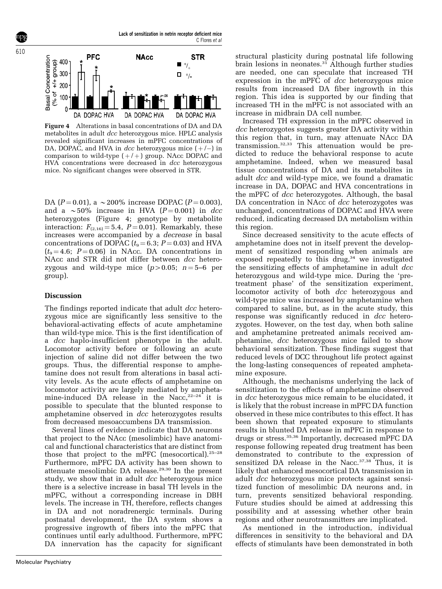

Figure 4 Alterations in basal concentrations of DA and DA metabolites in adult dcc heterozygous mice. HPLC analysis revealed significant increases in mPFC concentrations of DA, DOPAC, and HVA in dcc heterozygous mice  $(+/-)$  in comparison to wild-type  $(+/+)$  group. NAcc DOPAC and  $HVA$  concentrations were decreased in  $doc$  heterozygous mice. No significant changes were observed in STR.

DA (P = 0.01), a  $\sim$  200% increase DOPAC (P = 0.003). and a  $\sim$  50% increase in HVA (P = 0.001) in dcc heterozygotes (Figure 4; genotype by metabolite interaction:  $F_{(2,16)} = 5.4$ ,  $P = 0.01$ ). Remarkably, these increases were accompanied by a decrease in basal concentrations of DOPAC ( $t<sub>9</sub> = 6.3$ ;  $P = 0.03$ ) and HVA  $(t<sub>9</sub>=4.6; P=0.06)$  in NAcc. DA concentrations in NAcc and STR did not differ between dcc heterozygous and wild-type mice  $(p>0.05; n = 5-6$  per group).

#### **Discussion**

The findings reported indicate that adult dcc heterozygous mice are significantly less sensitive to the behavioral-activating effects of acute amphetamine than wild-type mice. This is the first identification of a *dcc* haplo-insufficient phenotype in the adult. Locomotor activity before or following an acute injection of saline did not differ between the two groups. Thus, the differential response to amphetamine does not result from alterations in basal activity levels. As the acute effects of amphetamine on locomotor activity are largely mediated by amphetamine-induced DA release in the Nacc, $22-24$  it is possible to speculate that the blunted response to amphetamine observed in dcc heterozygotes results from decreased mesoaccumbens DA transmission.

Several lines of evidence indicate that DA neurons that project to the NAcc (mesolimbic) have anatomical and functional characteristics that are distinct from those that project to the mPFC (mesocortical).<sup>25-28</sup> Furthermore, mPFC DA activity has been shown to attenuate mesolimbic DA release.<sup>29,30</sup> In the present study, we show that in adult *dcc* heterozygous mice there is a selective increase in basal TH levels in the mPFC, without a corresponding increase in DBH levels. The increase in TH, therefore, reflects changes in DA and not noradrenergic terminals. During postnatal development, the DA system shows a progressive ingrowth of fibers into the mPFC that continues until early adulthood. Furthermore, mPFC DA innervation has the capacity for significant

Molecular Psychiatry

structural plasticity during postnatal life following brain lesions in neonates.<sup>31</sup> Although further studies are needed, one can speculate that increased TH expression in the mPFC of *dcc* heterozygous mice results from increased DA fiber ingrowth in this region. This idea is supported by our finding that increased TH in the mPFC is not associated with an increase in midbrain DA cell number.

Increased TH expression in the mPFC observed in dcc heterozygotes suggests greater DA activity within this region that, in turn, may attenuate NAcc DA transmission.32,33 This attenuation would be predicted to reduce the behavioral response to acute amphetamine. Indeed, when we measured basal tissue concentrations of DA and its metabolites in adult *dcc* and wild-type mice, we found a dramatic increase in DA, DOPAC and HVA concentrations in the mPFC of dcc heterozygotes. Although, the basal DA concentration in NAcc of dcc heterozygotes was unchanged, concentrations of DOPAC and HVA were reduced, indicating decreased DA metabolism within this region.

Since decreased sensitivity to the acute effects of amphetamine does not in itself prevent the development of sensitized responding when animals are exposed repeatedly to this drug,<sup>34</sup> we investigated the sensitizing effects of amphetamine in adult dcc heterozygous and wild-type mice. During the 'pretreatment phase' of the sensitization experiment, locomotor activity of both *dcc* heterozygous and wild-type mice was increased by amphetamine when compared to saline, but, as in the acute study, this response was significantly reduced in dcc heterozygotes. However, on the test day, when both saline and amphetamine pretreated animals received amphetamine, dcc heterozygous mice failed to show behavioral sensitization. These findings suggest that reduced levels of DCC throughout life protect against the long-lasting consequences of repeated amphetamine exposure.

Although, the mechanisms underlying the lack of sensitization to the effects of amphetamine observed in dcc heterozygous mice remain to be elucidated, it is likely that the robust increase in mPFC DA function observed in these mice contributes to this effect. It has been shown that repeated exposure to stimulants results in blunted DA release in mPFC in response to drugs or stress.<sup>35,36</sup> Importantly, decreased mPFC DA response following repeated drug treatment has been demonstrated to contribute to the expression of sensitized DA release in the Nacc. $37,38$  Thus, it is likely that enhanced mesocortical DA transmission in adult dcc heterozygous mice protects against sensitized function of mesolimbic DA neurons and, in turn, prevents sensitized behavioral responding. Future studies should be aimed at addressing this possibility and at assessing whether other brain regions and other neurotransmitters are implicated.

As mentioned in the introduction, individual differences in sensitivity to the behavioral and DA effects of stimulants have been demonstrated in both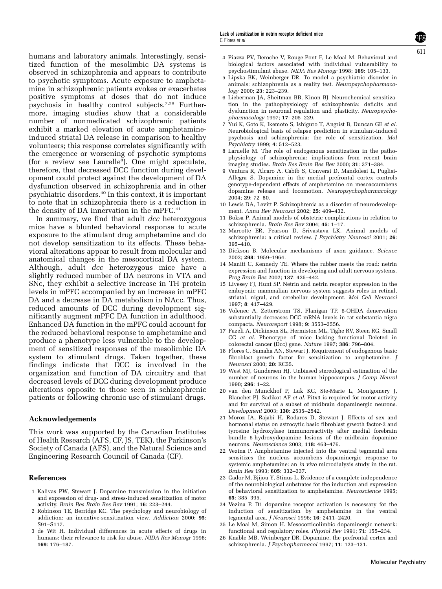humans and laboratory animals. Interestingly, sensitized function of the mesolimbic DA systems is observed in schizophrenia and appears to contribute to psychotic symptoms. Acute exposure to amphetamine in schizophrenic patients evokes or exacerbates positive symptoms at doses that do not induce psychosis in healthy control subjects.<sup>7,39</sup> Furthermore, imaging studies show that a considerable number of nonmedicated schizophrenic patients exhibit a marked elevation of acute amphetamineinduced striatal DA release in comparison to healthy volunteers; this response correlates significantly with the emergence or worsening of psychotic symptoms (for a review see Laurelle<sup>8</sup>). One might speculate, therefore, that decreased DCC function during development could protect against the development of DA dysfunction observed in schizophrenia and in other psychiatric disorders.<sup>40</sup> In this context, it is important to note that in schizophrenia there is a reduction in the density of DA innervation in the mPFC.<sup>41</sup>

In summary, we find that adult  $\text{d}cc$  heterozygous mice have a blunted behavioral response to acute exposure to the stimulant drug amphetamine and do not develop sensitization to its effects. These behavioral alterations appear to result from molecular and anatomical changes in the mesocortical DA system. Although, adult dcc heterozygous mice have a slightly reduced number of DA neurons in VTA and SNc, they exhibit a selective increase in TH protein levels in mPFC accompanied by an increase in mPFC DA and a decrease in DA metabolism in NAcc. Thus, reduced amounts of DCC during development significantly augment mPFC DA function in adulthood. Enhanced DA function in the mPFC could account for the reduced behavioral response to amphetamine and produce a phenotype less vulnerable to the development of sensitized responses of the mesolimbic DA system to stimulant drugs. Taken together, these findings indicate that DCC is involved in the organization and function of DA circuitry and that decreased levels of DCC during development produce alterations opposite to those seen in schizophrenic patients or following chronic use of stimulant drugs.

#### Acknowledgements

This work was supported by the Canadian Institutes of Health Research (AFS, CF, JS, TEK), the Parkinson's Society of Canada (AFS), and the Natural Science and Engineering Research Council of Canada (CF).

#### References

- 1 Kalivas PW, Stewart J. Dopamine transmission in the initiation and expression of drug- and stress-induced sensitization of motor activity. Brain Res Brain Res Rev 1991; 16: 223–244.
- 2 Robinson TE, Berridge KC. The psychology and neurobiology of addiction: an incentive-sensitization view. Addiction 2000; 95: S91–S117.
- 3 de Wit H. Individual differences in acute effects of drugs in humans: their relevance to risk for abuse. NIDA Res Monogr 1998; 169: 176–187.
- 4 Piazza PV, Deroche V, Rouge-Pont F, Le Moal M. Behavioral and biological factors associated with individual vulnerability to psychostimulant abuse. NIDA Res Monogr 1998; 169: 105–133.
- 5 Lipska BK, Weinberger DR. To model a psychiatric disorder in animals: schizophrenia as a reality test. Neuropsychopharmacology 2000; 23: 223–239.
- 6 Lieberman JA, Sheitman BB, Kinon BJ. Neurochemical sensitization in the pathophysiology of schizophrenia: deficits and dysfunction in neuronal regulation and plasticity. Neuropsychopharmacology 1997; 17: 205–229.
- 7 Yui K, Goto K, Ikemoto S, Ishiguro T, Angrist B, Duncan GE et al. Neurobiological basis of relapse prediction in stimulant-induced psychosis and schizophrenia: the role of sensitization. Mol Psychiatry 1999; 4: 512–523.
- 8 Laruelle M. The role of endogenous sensitization in the pathophysiology of schizophrenia: implications from recent brain imaging studies. Brain Res Brain Res Rev 2000; 31: 371–384.
- 9 Ventura R, Alcaro A, Cabib S, Conversi D, Mandolesi L, Puglisi-Allegra S. Dopamine in the medial prefrontal cortex controls genotype-dependent effects of amphetamine on mesoaccumbens dopamine release and locomotion. Neuropsychopharmacology 2004; 29: 72–80.
- 10 Lewis DA, Levitt P. Schizophrenia as a disorder of neurodevelopment. Annu Rev Neurosci 2002; 25: 409–432.
- 11 Boksa P. Animal models of obstetric complications in relation to schizophrenia. Brain Res Rev 2004; 45: 1–17.
- 12 Marcotte ER, Pearson D, Srivastava LK. Animal models of schizophrenia: a critical review. J Psychiatry Neurosci 2001; 26: 395–410.
- 13 Dickson B. Molecular mechanisms of axon guidance. Science 2002; 298: 1959–1964.
- 14 Manitt C, Kennedy TE. Where the rubber meets the road: netrin expression and function in developing and adult nervous systems. Prog Brain Res 2002; 137: 425–442.
- 15 Livesey FJ, Hunt SP. Netrin and netrin receptor expression in the embryonic mammalian nervous system suggests roles in retinal, striatal, nigral, and cerebellar development. Mol Cell Neurosci 1997; 8: 417–429.
- 16 Volenec A, Zetterstrom TS, Flanigan TP. 6-OHDA denervation substantially decreases DCC mRNA levels in rat substantia nigra compacta. Neuroreport 1998; 9: 3553–3556.
- 17 Fazeli A, Dickinson SL, Hermiston ML, Tighe RV, Steen RG, Small CG et al. Phenotype of mice lacking functional Deleted in colorectal cancer (Dcc) gene. Nature 1997; 386: 796–804.
- 18 Flores C, Samaha AN, Stewart J. Requirement of endogenous basic fibroblast growth factor for sensitization to amphetamine. J Neurosci 2000; 20: RC55.
- 19 West MJ, Gundersen HJ. Unbiased stereological estimation of the number of neurons in the human hippocampus. J Comp Neurol 1990; 296: 1–22.
- 20 van den Munckhof P, Luk KC, Ste-Marie L, Montgomery J, Blanchet PJ, Sadikot AF et al. Pitx3 is required for motor activity and for survival of a subset of midbrain dopaminergic neurons. Development 2003; 130: 2535–2542.
- 21 Moroz IA, Rajabi H, Rodaros D, Stewart J. Effects of sex and hormonal status on astrocytic basic fibroblast grwoth factor-2 and tyrosine hydroxylase immunoreactivity after medial forebrain bundle 6-hydroxydopamine lesions of the midbrain dopamine neurons. Neuroscience 2003; 118: 463–476.
- 22 Vezina P. Amphetamine injected into the ventral tegmental area sensitizes the nucleus accumbens dopaminergic response to systemic amphetamine: an in vivo microdialysis study in the rat. Brain Res 1993; 605: 332–337.
- 23 Cador M, Bjijou Y, Stinus L. Evidence of a complete independence of the neurobiological substrates for the induction and expression of behavioral sensitization to amphetamine. Neuroscience 1995; 65: 385–395.
- 24 Vezina P. D1 dopamine receptor activation is necessary for the induction of sensitization by amphetamine in the ventral tegmental area. J Neurosci 1996; 16: 2411–2420.
- 25 Le Moal M, Simon H. Mesocorticolimbic dopaminergic network: functional and regulatory roles. Physiol Rev 1991; 71: 155–234.
- Knable MB, Weinberger DR. Dopamine, the prefrontal cortex and schizophrenia. J Psychopharmacol 1997; 11: 123–131.

611